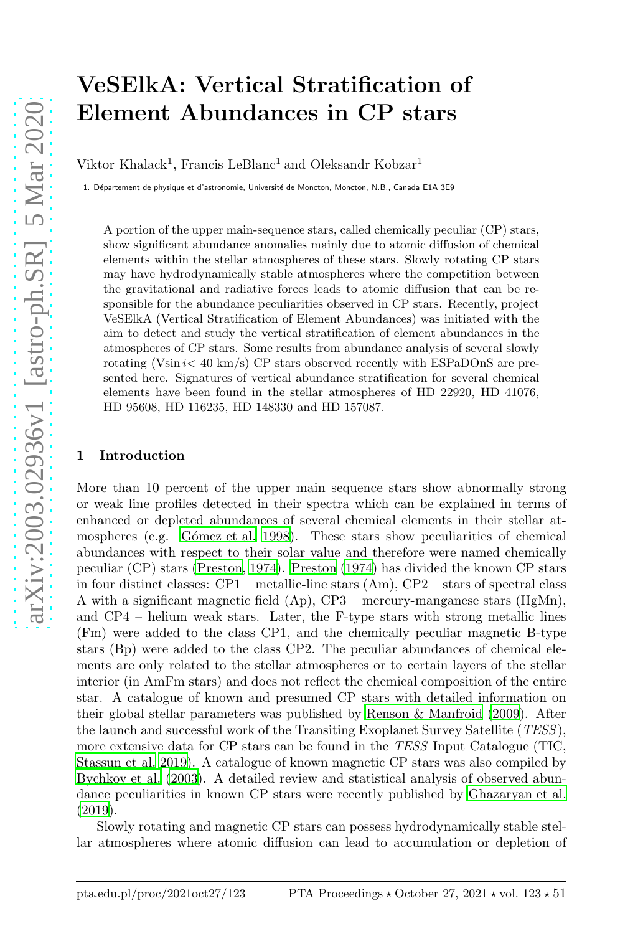# VeSElkA: Vertical Stratification of Element Abundances in CP stars

Viktor Khalack<sup>1</sup>, Francis LeBlanc<sup>1</sup> and Oleksandr Kobzar<sup>1</sup>

1. Département de physique et d'astronomie, Université de Moncton, Moncton, N.B., Canada E1A 3E9

A portion of the upper main-sequence stars, called chemically peculiar (CP) stars, show significant abundance anomalies mainly due to atomic diffusion of chemical elements within the stellar atmospheres of these stars. Slowly rotating CP stars may have hydrodynamically stable atmospheres where the competition between the gravitational and radiative forces leads to atomic diffusion that can be responsible for the abundance peculiarities observed in CP stars. Recently, project VeSElkA (Vertical Stratification of Element Abundances) was initiated with the aim to detect and study the vertical stratification of element abundances in the atmospheres of CP stars. Some results from abundance analysis of several slowly rotating (Vsin  $i < 40$  km/s) CP stars observed recently with ESPaDOnS are presented here. Signatures of vertical abundance stratification for several chemical elements have been found in the stellar atmospheres of HD 22920, HD 41076, HD 95608, HD 116235, HD 148330 and HD 157087.

#### 1 Introduction

More than 10 percent of the upper main sequence stars show abnormally strong or weak line profiles detected in their spectra which can be explained in terms of enhanced or depleted abundances of several chemical elements in their stellar atmospheres (e.g. Gómez et al. 1998). These stars show peculiarities of chemical abundances with respect to their solar value and therefore were named chemically peculiar (CP) stars [\(Preston, 1974\)](#page-7-0). [Preston \(1974\)](#page-7-0) has divided the known CP stars in four distinct classes: CP1 – metallic-line stars (Am), CP2 – stars of spectral class A with a significant magnetic field (Ap), CP3 – mercury-manganese stars (HgMn), and CP4 – helium weak stars. Later, the F-type stars with strong metallic lines (Fm) were added to the class CP1, and the chemically peculiar magnetic B-type stars (Bp) were added to the class CP2. The peculiar abundances of chemical elements are only related to the stellar atmospheres or to certain layers of the stellar interior (in AmFm stars) and does not reflect the chemical composition of the entire star. A catalogue of known and presumed CP stars with detailed information on their global stellar parameters was published by [Renson & Manfroid \(2009\)](#page-7-1). After the launch and successful work of the Transiting Exoplanet Survey Satellite (TESS), more extensive data for CP stars can be found in the TESS Input Catalogue (TIC, [Stassun et al. 2019\)](#page-7-2). A catalogue of known magnetic CP stars was also compiled by [Bychkov et al. \(2003\)](#page-6-1). A detailed review and statistical analysis of observed abundance peculiarities in known CP stars were recently published by [Ghazaryan et al.](#page-6-2) [\(2019\)](#page-6-2).

Slowly rotating and magnetic CP stars can possess hydrodynamically stable stellar atmospheres where atomic diffusion can lead to accumulation or depletion of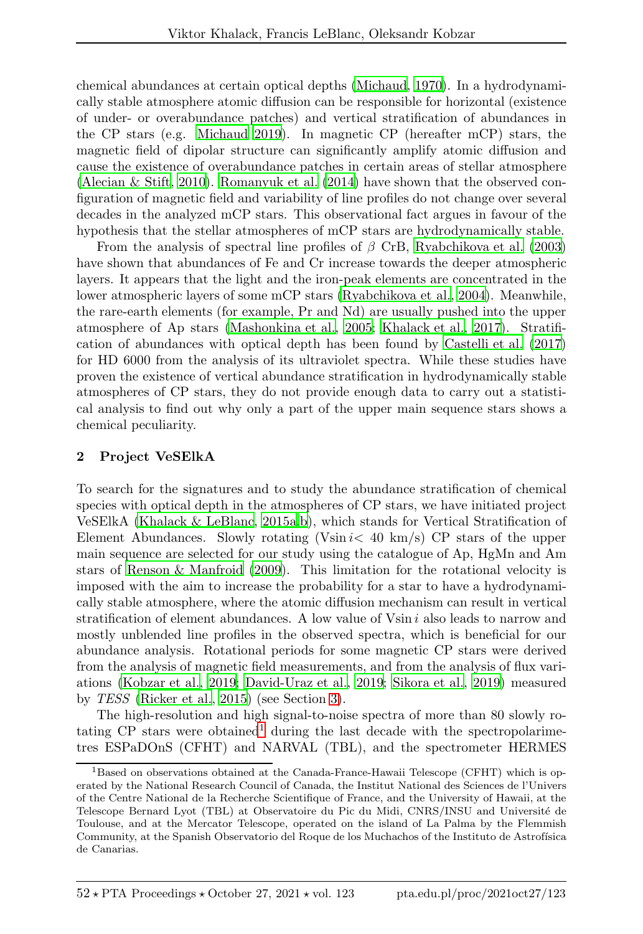chemical abundances at certain optical depths [\(Michaud, 1970\)](#page-7-3). In a hydrodynamically stable atmosphere atomic diffusion can be responsible for horizontal (existence of under- or overabundance patches) and vertical stratification of abundances in the CP stars (e.g. [Michaud 2019\)](#page-7-4). In magnetic CP (hereafter mCP) stars, the magnetic field of dipolar structure can significantly amplify atomic diffusion and cause the existence of overabundance patches in certain areas of stellar atmosphere [\(Alecian & Stift](#page-6-3), [2010](#page-6-3)). [Romanyuk et al. \(2014\)](#page-7-5) have shown that the observed configuration of magnetic field and variability of line profiles do not change over several decades in the analyzed mCP stars. This observational fact argues in favour of the hypothesis that the stellar atmospheres of mCP stars are hydrodynamically stable.

From the analysis of spectral line profiles of  $\beta$  CrB, [Ryabchikova et al. \(2003\)](#page-7-6) have shown that abundances of Fe and Cr increase towards the deeper atmospheric layers. It appears that the light and the iron-peak elements are concentrated in the lower atmospheric layers of some mCP stars [\(Ryabchikova et al., 2004\)](#page-7-7). Meanwhile, the rare-earth elements (for example, Pr and Nd) are usually pushed into the upper atmosphere of Ap stars [\(Mashonkina et al.](#page-7-8), [2005;](#page-7-8) [Khalack et al., 2017\)](#page-6-4). Stratification of abundances with optical depth has been found by [Castelli](#page-6-5) et al. [\(2017\)](#page-6-5) for HD 6000 from the analysis of its ultraviolet spectra. While these studies have proven the existence of vertical abundance stratification in hydrodynamically stable atmospheres of CP stars, they do not provide enough data to carry out a statistical analysis to find out why only a part of the upper main sequence stars shows a chemical peculiarity.

#### 2 Project VeSElkA

To search for the signatures and to study the abundance stratification of chemical species with optical depth in the atmospheres of CP stars, we have initiated project VeSElkA [\(Khalack & LeBlanc](#page-6-6), [2015a](#page-6-6)[,b\)](#page-6-7), which stands for Vertical Stratification of Element Abundances. Slowly rotating (Vsin  $i < 40 \text{ km/s}$ ) CP stars of the upper main sequence are selected for our study using the catalogue of Ap, HgMn and Am stars of [Renson & Manfroid \(2009](#page-7-1)). This limitation for the rotational velocity is imposed with the aim to increase the probability for a star to have a hydrodynamically stable atmosphere, where the atomic diffusion mechanism can result in vertical stratification of element abundances. A low value of  $V\sin i$  also leads to narrow and mostly unblended line profiles in the observed spectra, which is beneficial for our abundance analysis. Rotational periods for some magnetic CP stars were derived from the analysis of magnetic field measurements, and from the analysis of flux variations [\(Kobzar et al., 2019;](#page-7-9) [David-Uraz et al.](#page-6-8), [2019;](#page-6-8) [Sikora et al., 2019\)](#page-7-10) measured by TESS [\(Ricker et al., 2015\)](#page-7-11) (see Section [3\)](#page-4-0).

The high-resolution and high signal-to-noise spectra of more than 80 slowly rotating  $CP$  stars were obtained<sup>[1](#page-1-0)</sup> during the last decade with the spectropolarimetres ESPaDOnS (CFHT) and NARVAL (TBL), and the spectrometer HERMES

<span id="page-1-0"></span><sup>&</sup>lt;sup>1</sup>Based on observations obtained at the Canada-France-Hawaii Telescope (CFHT) which is operated by the National Research Council of Canada, the Institut National des Sciences de l'Univers of the Centre National de la Recherche Scientifique of France, and the University of Hawaii, at the Telescope Bernard Lyot (TBL) at Observatoire du Pic du Midi, CNRS/INSU and Universit´e de Toulouse, and at the Mercator Telescope, operated on the island of La Palma by the Flemmish Community, at the Spanish Observatorio del Roque de los Muchachos of the Instituto de Astrofísica de Canarias.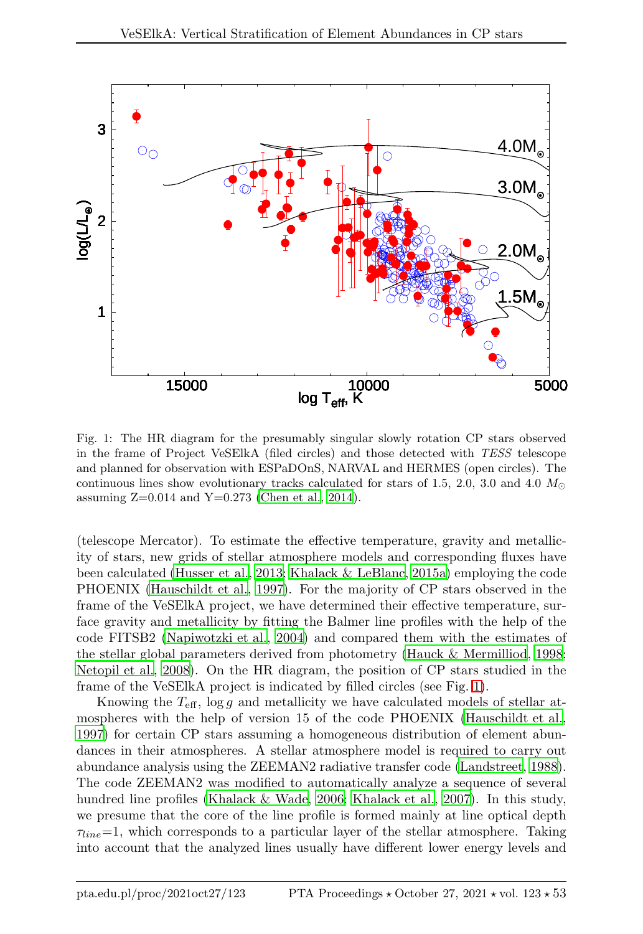

<span id="page-2-0"></span>Fig. 1: The HR diagram for the presumably singular slowly rotation CP stars observed in the frame of Project VeSElkA (filed circles) and those detected with TESS telescope and planned for observation with ESPaDOnS, NARVAL and HERMES (open circles). The continuous lines show evolutionary tracks calculated for stars of 1.5, 2.0, 3.0 and 4.0  $M_{\odot}$ assuming  $Z=0.014$  and  $Y=0.273$  [\(Chen et al.](#page-6-9), [2014](#page-6-9)).

(telescope Mercator). To estimate the effective temperature, gravity and metallicity of stars, new grids of stellar atmosphere models and corresponding fluxes have been calculated [\(Husser et al.](#page-6-10), [2013;](#page-6-10) [Khalack & LeBlanc, 2015a](#page-6-6)) employing the code PHOENIX [\(Hauschildt et al.](#page-6-11), [1997\)](#page-6-11). For the majority of CP stars observed in the frame of the VeSElkA project, we have determined their effective temperature, surface gravity and metallicity by fitting the Balmer line profiles with the help of the code FITSB2 [\(Napiwotzki et al., 2004\)](#page-7-12) and compared them with the estimates of the stellar global parameters derived from photometry [\(Hauck & Mermilliod, 1998;](#page-6-12) [Netopil et al., 2008\)](#page-7-13). On the HR diagram, the position of CP stars studied in the frame of the VeSElkA project is indicated by filled circles (see Fig. [1\)](#page-2-0).

Knowing the  $T_{\text{eff}}$ , log g and metallicity we have calculated models of stellar atmospheres with the help of version 15 of the code PHOENIX [\(Hauschildt et al.,](#page-6-11) [1997\)](#page-6-11) for certain CP stars assuming a homogeneous distribution of element abundances in their atmospheres. A stellar atmosphere model is required to carry out abundance analysis using the ZEEMAN2 radiative transfer code [\(Landstreet](#page-7-14), [1988\)](#page-7-14). The code ZEEMAN2 was modified to automatically analyze a sequence of several hundred line profiles [\(Khalack & Wade](#page-6-13), [2006;](#page-6-13) [Khalack et al., 2007\)](#page-7-15). In this study, we presume that the core of the line profile is formed mainly at line optical depth  $\tau_{line}$ =1, which corresponds to a particular layer of the stellar atmosphere. Taking into account that the analyzed lines usually have different lower energy levels and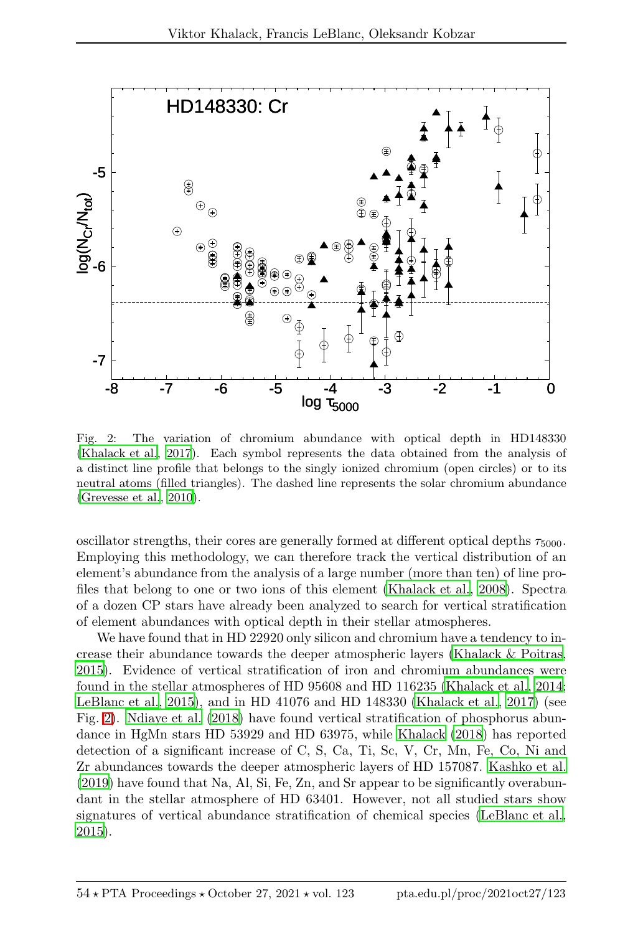

<span id="page-3-0"></span>Fig. 2: The variation of chromium abundance with optical depth in HD148330 [\(Khalack et al.](#page-6-4), [2017\)](#page-6-4). Each symbol represents the data obtained from the analysis of a distinct line profile that belongs to the singly ionized chromium (open circles) or to its neutral atoms (filled triangles). The dashed line represents the solar chromium abundance [\(Grevesse et al., 2010\)](#page-6-14).

oscillator strengths, their cores are generally formed at different optical depths  $\tau_{5000}$ . Employing this methodology, we can therefore track the vertical distribution of an element's abundance from the analysis of a large number (more than ten) of line profiles that belong to one or two ions of this element [\(Khalack et al.](#page-7-16), [2008\)](#page-7-16). Spectra of a dozen CP stars have already been analyzed to search for vertical stratification of element abundances with optical depth in their stellar atmospheres.

We have found that in HD 22920 only silicon and chromium have a tendency to increase their abundance towards the deeper atmospheric layers [\(Khalack & Poitras,](#page-6-15) [2015\)](#page-6-15). Evidence of vertical stratification of iron and chromium abundances were found in the stellar atmospheres of HD 95608 and HD 116235 [\(Khalack et al.](#page-6-16), [2014;](#page-6-16) [LeBlanc et al., 2015\)](#page-7-17), and in HD 41076 and HD 148330 [\(Khalack et al.](#page-6-4), [2017\)](#page-6-4) (see Fig. [2\)](#page-3-0). [Ndiaye et al. \(2018\)](#page-7-18) have found vertical stratification of phosphorus abundance in HgMn stars HD 53929 and HD 63975, while [Khalack \(2018](#page-6-17)) has reported detection of a significant increase of C, S, Ca, Ti, Sc, V, Cr, Mn, Fe, Co, Ni and Zr abundances towards the deeper atmospheric layers of HD 157087. [Kashko et al.](#page-6-18) [\(2019\)](#page-6-18) have found that Na, Al, Si, Fe, Zn, and Sr appear to be significantly overabundant in the stellar atmosphere of HD 63401. However, not all studied stars show signatures of vertical abundance stratification of chemical species [\(LeBlanc et al.,](#page-7-17) [2015\)](#page-7-17).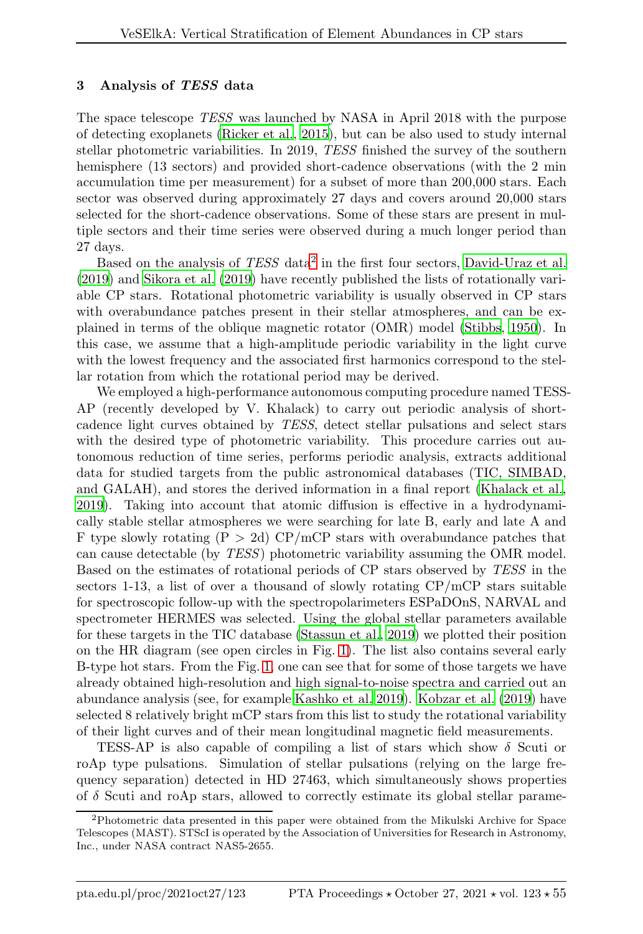## <span id="page-4-0"></span>3 Analysis of TESS data

The space telescope TESS was launched by NASA in April 2018 with the purpose of detecting exoplanets [\(Ricker et al.](#page-7-11), [2015](#page-7-11)), but can be also used to study internal stellar photometric variabilities. In 2019, TESS finished the survey of the southern hemisphere (13 sectors) and provided short-cadence observations (with the 2 min accumulation time per measurement) for a subset of more than 200,000 stars. Each sector was observed during approximately 27 days and covers around 20,000 stars selected for the short-cadence observations. Some of these stars are present in multiple sectors and their time series were observed during a much longer period than 27 days.

Based on the analysis of TESS data<sup>[2](#page-4-1)</sup> in the first four sectors, [David-Uraz et al.](#page-6-8) [\(2019\)](#page-6-8) and [Sikora et al. \(2019\)](#page-7-10) have recently published the lists of rotationally variable CP stars. Rotational photometric variability is usually observed in CP stars with overabundance patches present in their stellar atmospheres, and can be explained in terms of the oblique magnetic rotator (OMR) model [\(Stibbs](#page-7-19), [1950\)](#page-7-19). In this case, we assume that a high-amplitude periodic variability in the light curve with the lowest frequency and the associated first harmonics correspond to the stellar rotation from which the rotational period may be derived.

We employed a high-performance autonomous computing procedure named TESS-AP (recently developed by V. Khalack) to carry out periodic analysis of shortcadence light curves obtained by TESS, detect stellar pulsations and select stars with the desired type of photometric variability. This procedure carries out autonomous reduction of time series, performs periodic analysis, extracts additional data for studied targets from the public astronomical databases (TIC, SIMBAD, and GALAH), and stores the derived information in a final report [\(Khalack et al.,](#page-7-20) [2019\)](#page-7-20). Taking into account that atomic diffusion is effective in a hydrodynamically stable stellar atmospheres we were searching for late B, early and late A and F type slowly rotating  $(P > 2d)$  CP/mCP stars with overabundance patches that can cause detectable (by TESS) photometric variability assuming the OMR model. Based on the estimates of rotational periods of CP stars observed by TESS in the sectors 1-13, a list of over a thousand of slowly rotating  $\text{CP/mCP}$  stars suitable for spectroscopic follow-up with the spectropolarimeters ESPaDOnS, NARVAL and spectrometer HERMES was selected. Using the global stellar parameters available for these targets in the TIC database [\(Stassun et al., 2019\)](#page-7-2) we plotted their position on the HR diagram (see open circles in Fig. [1\)](#page-2-0). The list also contains several early B-type hot stars. From the Fig. [1,](#page-2-0) one can see that for some of those targets we have already obtained high-resolution and high signal-to-noise spectra and carried out an abundance analysis (see, for example [Kashko et al. 2019\)](#page-6-18). [Kobzar](#page-7-9) et al. [\(2019](#page-7-9)) have selected 8 relatively bright mCP stars from this list to study the rotational variability of their light curves and of their mean longitudinal magnetic field measurements.

TESS-AP is also capable of compiling a list of stars which show  $\delta$  Scuti or roAp type pulsations. Simulation of stellar pulsations (relying on the large frequency separation) detected in HD 27463, which simultaneously shows properties of  $\delta$  Scuti and roAp stars, allowed to correctly estimate its global stellar parame-

<span id="page-4-1"></span><sup>2</sup>Photometric data presented in this paper were obtained from the Mikulski Archive for Space Telescopes (MAST). STScI is operated by the Association of Universities for Research in Astronomy, Inc., under NASA contract NAS5-2655.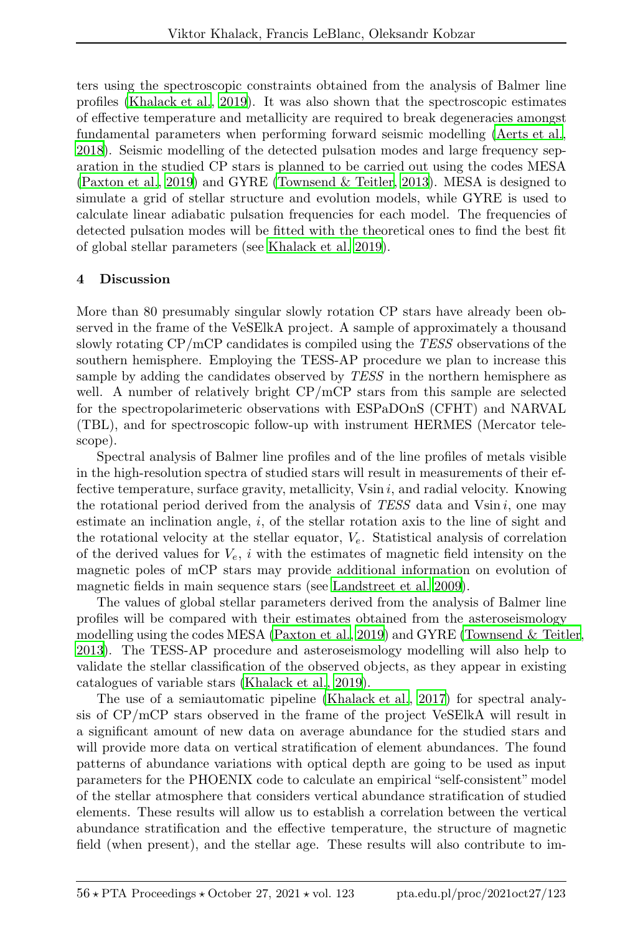ters using the spectroscopic constraints obtained from the analysis of Balmer line profiles [\(Khalack et al.](#page-7-20), [2019\)](#page-7-20). It was also shown that the spectroscopic estimates of effective temperature and metallicity are required to break degeneracies amongst fundamental parameters when performing forward seismic modelling [\(Aerts et al.,](#page-6-19) [2018\)](#page-6-19). Seismic modelling of the detected pulsation modes and large frequency separation in the studied CP stars is planned to be carried out using the codes MESA [\(Paxton et al.](#page-7-21), [2019\)](#page-7-21) and GYRE [\(Townsend & Teitler, 2013\)](#page-7-22). MESA is designed to simulate a grid of stellar structure and evolution models, while GYRE is used to calculate linear adiabatic pulsation frequencies for each model. The frequencies of detected pulsation modes will be fitted with the theoretical ones to find the best fit of global stellar parameters (see [Khalack et al. 2019\)](#page-7-20).

## 4 Discussion

More than 80 presumably singular slowly rotation CP stars have already been observed in the frame of the VeSElkA project. A sample of approximately a thousand slowly rotating CP/mCP candidates is compiled using the TESS observations of the southern hemisphere. Employing the TESS-AP procedure we plan to increase this sample by adding the candidates observed by TESS in the northern hemisphere as well. A number of relatively bright CP/mCP stars from this sample are selected for the spectropolarimeteric observations with ESPaDOnS (CFHT) and NARVAL (TBL), and for spectroscopic follow-up with instrument HERMES (Mercator telescope).

Spectral analysis of Balmer line profiles and of the line profiles of metals visible in the high-resolution spectra of studied stars will result in measurements of their effective temperature, surface gravity, metallicity,  $V\sin i$ , and radial velocity. Knowing the rotational period derived from the analysis of  $TESS$  data and  $V\sin i$ , one may estimate an inclination angle,  $i$ , of the stellar rotation axis to the line of sight and the rotational velocity at the stellar equator,  $V_e$ . Statistical analysis of correlation of the derived values for  $V_e$ , i with the estimates of magnetic field intensity on the magnetic poles of mCP stars may provide additional information on evolution of magnetic fields in main sequence stars (see [Landstreet et al. 2009\)](#page-7-23).

The values of global stellar parameters derived from the analysis of Balmer line profiles will be compared with their estimates obtained from the asteroseismology modelling using the codes MESA [\(Paxton et al.](#page-7-21), [2019\)](#page-7-21) and GYRE [\(Townsend & Teitler](#page-7-22), [2013\)](#page-7-22). The TESS-AP procedure and asteroseismology modelling will also help to validate the stellar classification of the observed objects, as they appear in existing catalogues of variable stars [\(Khalack et al.](#page-7-20), [2019](#page-7-20)).

The use of a semiautomatic pipeline [\(Khalack et al.](#page-6-4), [2017\)](#page-6-4) for spectral analysis of CP/mCP stars observed in the frame of the project VeSElkA will result in a significant amount of new data on average abundance for the studied stars and will provide more data on vertical stratification of element abundances. The found patterns of abundance variations with optical depth are going to be used as input parameters for the PHOENIX code to calculate an empirical "self-consistent" model of the stellar atmosphere that considers vertical abundance stratification of studied elements. These results will allow us to establish a correlation between the vertical abundance stratification and the effective temperature, the structure of magnetic field (when present), and the stellar age. These results will also contribute to im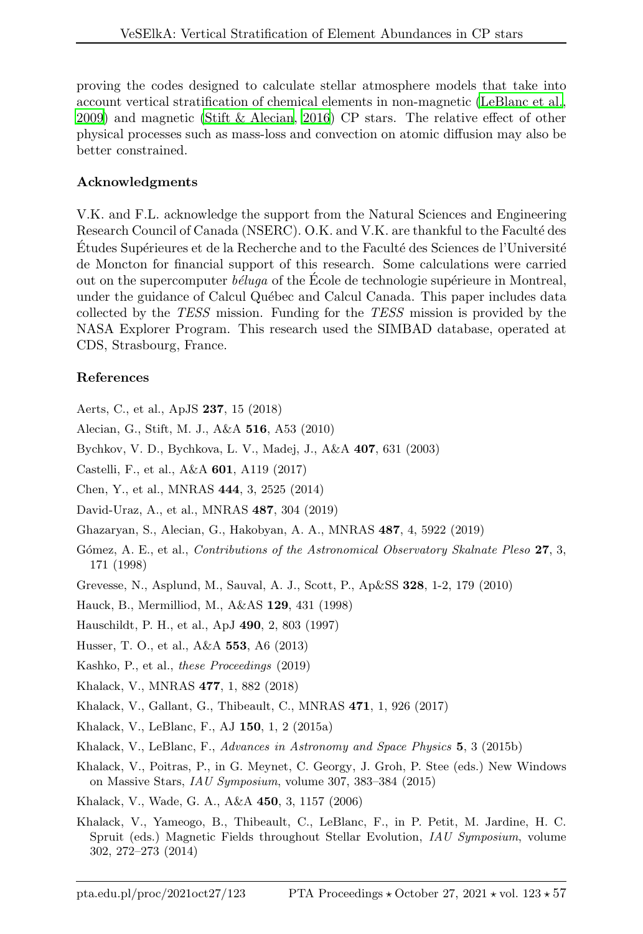proving the codes designed to calculate stellar atmosphere models that take into account vertical stratification of chemical elements in non-magnetic [\(LeBlanc et al.,](#page-7-24) [2009\)](#page-7-24) and magnetic [\(Stift & Alecian, 2016\)](#page-7-25) CP stars. The relative effect of other physical processes such as mass-loss and convection on atomic diffusion may also be better constrained.

## Acknowledgments

V.K. and F.L. acknowledge the support from the Natural Sciences and Engineering Research Council of Canada (NSERC). O.K. and V.K. are thankful to the Faculté des Études Supérieures et de la Recherche and to the Faculté des Sciences de l'Université de Moncton for financial support of this research. Some calculations were carried out on the supercomputer  $b\acute{e}luqa$  of the Ecole de technologie supérieure in Montreal, under the guidance of Calcul Québec and Calcul Canada. This paper includes data collected by the TESS mission. Funding for the TESS mission is provided by the NASA Explorer Program. This research used the SIMBAD database, operated at CDS, Strasbourg, France.

# References

<span id="page-6-19"></span>Aerts, C., et al., ApJS 237, 15 (2018)

<span id="page-6-3"></span>Alecian, G., Stift, M. J., A&A 516, A53 (2010)

<span id="page-6-1"></span>Bychkov, V. D., Bychkova, L. V., Madej, J., A&A 407, 631 (2003)

<span id="page-6-5"></span>Castelli, F., et al., A&A 601, A119 (2017)

<span id="page-6-9"></span>Chen, Y., et al., MNRAS 444, 3, 2525 (2014)

<span id="page-6-8"></span>David-Uraz, A., et al., MNRAS 487, 304 (2019)

<span id="page-6-2"></span>Ghazaryan, S., Alecian, G., Hakobyan, A. A., MNRAS 487, 4, 5922 (2019)

- <span id="page-6-0"></span>Gómez, A. E., et al., Contributions of the Astronomical Observatory Skalnate Pleso 27, 3, 171 (1998)
- <span id="page-6-14"></span>Grevesse, N., Asplund, M., Sauval, A. J., Scott, P., Ap&SS 328, 1-2, 179 (2010)

<span id="page-6-12"></span>Hauck, B., Mermilliod, M., A&AS 129, 431 (1998)

- <span id="page-6-11"></span>Hauschildt, P. H., et al., ApJ 490, 2, 803 (1997)
- <span id="page-6-10"></span>Husser, T. O., et al., A&A 553, A6 (2013)

<span id="page-6-18"></span>Kashko, P., et al., these Proceedings (2019)

- <span id="page-6-17"></span>Khalack, V., MNRAS 477, 1, 882 (2018)
- <span id="page-6-4"></span>Khalack, V., Gallant, G., Thibeault, C., MNRAS 471, 1, 926 (2017)
- <span id="page-6-6"></span>Khalack, V., LeBlanc, F., AJ 150, 1, 2 (2015a)
- <span id="page-6-7"></span>Khalack, V., LeBlanc, F., Advances in Astronomy and Space Physics 5, 3 (2015b)
- <span id="page-6-15"></span>Khalack, V., Poitras, P., in G. Meynet, C. Georgy, J. Groh, P. Stee (eds.) New Windows on Massive Stars, IAU Symposium, volume 307, 383–384 (2015)

<span id="page-6-13"></span>Khalack, V., Wade, G. A., A&A 450, 3, 1157 (2006)

<span id="page-6-16"></span>Khalack, V., Yameogo, B., Thibeault, C., LeBlanc, F., in P. Petit, M. Jardine, H. C. Spruit (eds.) Magnetic Fields throughout Stellar Evolution, IAU Symposium, volume 302, 272–273 (2014)